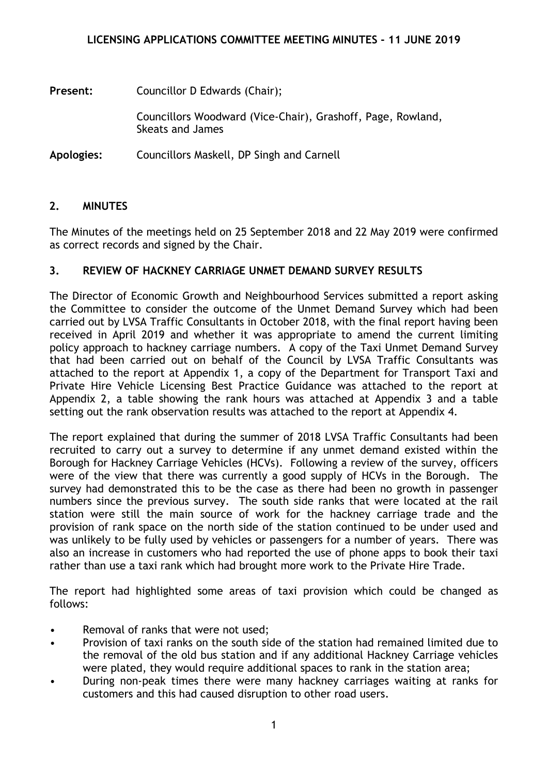**Present:** Councillor D Edwards (Chair);

Councillors Woodward (Vice-Chair), Grashoff, Page, Rowland, Skeats and James

**Apologies:** Councillors Maskell, DP Singh and Carnell

## **2. MINUTES**

The Minutes of the meetings held on 25 September 2018 and 22 May 2019 were confirmed as correct records and signed by the Chair.

## **3. REVIEW OF HACKNEY CARRIAGE UNMET DEMAND SURVEY RESULTS**

The Director of Economic Growth and Neighbourhood Services submitted a report asking the Committee to consider the outcome of the Unmet Demand Survey which had been carried out by LVSA Traffic Consultants in October 2018, with the final report having been received in April 2019 and whether it was appropriate to amend the current limiting policy approach to hackney carriage numbers. A copy of the Taxi Unmet Demand Survey that had been carried out on behalf of the Council by LVSA Traffic Consultants was attached to the report at Appendix 1, a copy of the Department for Transport Taxi and Private Hire Vehicle Licensing Best Practice Guidance was attached to the report at Appendix 2, a table showing the rank hours was attached at Appendix 3 and a table setting out the rank observation results was attached to the report at Appendix 4.

The report explained that during the summer of 2018 LVSA Traffic Consultants had been recruited to carry out a survey to determine if any unmet demand existed within the Borough for Hackney Carriage Vehicles (HCVs). Following a review of the survey, officers were of the view that there was currently a good supply of HCVs in the Borough. The survey had demonstrated this to be the case as there had been no growth in passenger numbers since the previous survey. The south side ranks that were located at the rail station were still the main source of work for the hackney carriage trade and the provision of rank space on the north side of the station continued to be under used and was unlikely to be fully used by vehicles or passengers for a number of years. There was also an increase in customers who had reported the use of phone apps to book their taxi rather than use a taxi rank which had brought more work to the Private Hire Trade.

The report had highlighted some areas of taxi provision which could be changed as follows:

- Removal of ranks that were not used:
- Provision of taxi ranks on the south side of the station had remained limited due to the removal of the old bus station and if any additional Hackney Carriage vehicles were plated, they would require additional spaces to rank in the station area;
- During non-peak times there were many hackney carriages waiting at ranks for customers and this had caused disruption to other road users.